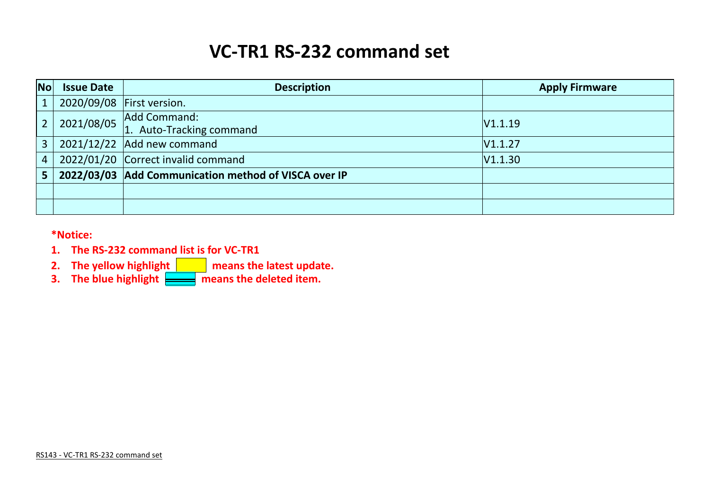# **VC-TR1 RS-232 command set**

| <b>No</b>      | <b>Issue Date</b> | <b>Description</b>                                   | <b>Apply Firmware</b> |
|----------------|-------------------|------------------------------------------------------|-----------------------|
|                |                   | 2020/09/08 First version.                            |                       |
|                | 2021/08/05        | Add Command:<br>1. Auto-Tracking command             | V1.1.19               |
| $\overline{3}$ |                   | $2021/12/22$ Add new command                         | V1.1.27               |
| $\overline{4}$ |                   | 2022/01/20 Correct invalid command                   | V1.1.30               |
|                |                   | 2022/03/03 Add Communication method of VISCA over IP |                       |
|                |                   |                                                      |                       |
|                |                   |                                                      |                       |

**\*Notice:**

- **1. The RS-232 command list is for VC-TR1**
- **2.** The yellow highlight **now means the latest update.**
- **3.** The blue highlight  $\frac{1}{\sqrt{1-\frac{1}{n}}}\$  means the deleted item.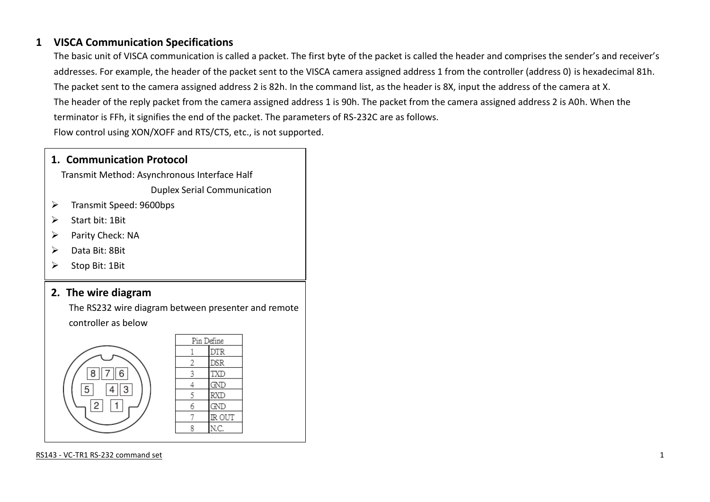#### **1 VISCA Communication Specifications**

The basic unit of VISCA communication is called a packet. The first byte of the packet is called the header and comprises the sender's and receiver's addresses. For example, the header of the packet sent to the VISCA camera assigned address 1 from the controller (address 0) is hexadecimal 81h. The packet sent to the camera assigned address 2 is 82h. In the command list, as the header is 8X, input the address of the camera at X. The header of the reply packet from the camera assigned address 1 is 90h. The packet from the camera assigned address 2 is A0h. When the terminator is FFh, it signifies the end of the packet. The parameters of RS-232C are as follows. Flow control using XON/XOFF and RTS/CTS, etc., is not supported.

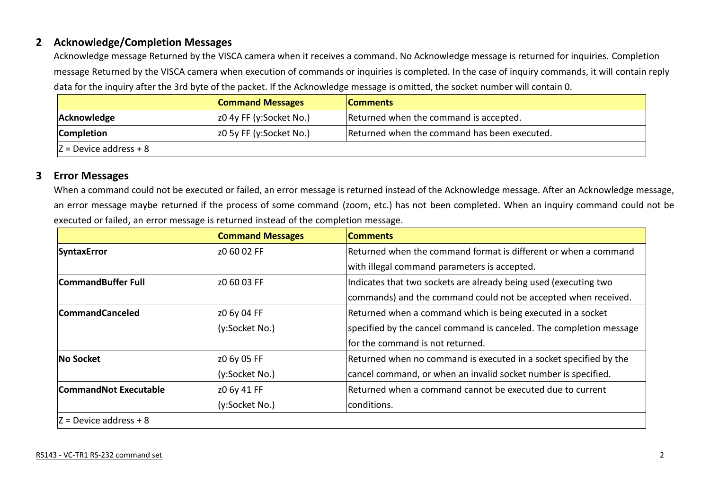#### **2 Acknowledge/Completion Messages**

Acknowledge message Returned by the VISCA camera when it receives a command. No Acknowledge message is returned for inquiries. Completion message Returned by the VISCA camera when execution of commands or inquiries is completed. In the case of inquiry commands, it will contain reply data for the inquiry after the 3rd byte of the packet. If the Acknowledge message is omitted, the socket number will contain 0.

|                          | <b>Command Messages</b> | <b>Comments</b>                              |  |
|--------------------------|-------------------------|----------------------------------------------|--|
| Acknowledge              | z0 4y FF (y:Socket No.) | Returned when the command is accepted.       |  |
| <b>Completion</b>        | z0 5y FF (y:Socket No.) | Returned when the command has been executed. |  |
| $Z =$ Device address + 8 |                         |                                              |  |

#### **3 Error Messages**

When a command could not be executed or failed, an error message is returned instead of the Acknowledge message. After an Acknowledge message, an error message maybe returned if the process of some command (zoom, etc.) has not been completed. When an inquiry command could not be executed or failed, an error message is returned instead of the completion message.

|                                           | <b>Command Messages</b> | <b>Comments</b>                                                     |
|-------------------------------------------|-------------------------|---------------------------------------------------------------------|
| <b>SyntaxError</b>                        | z0 60 02 FF             | Returned when the command format is different or when a command     |
|                                           |                         | with illegal command parameters is accepted.                        |
| <b>CommandBuffer Full</b><br>Iz0 60 03 FF |                         | Indicates that two sockets are already being used (executing two    |
|                                           |                         | commands) and the command could not be accepted when received.      |
| <b>CommandCanceled</b>                    | z0 6y 04 FF             | Returned when a command which is being executed in a socket         |
|                                           | (y:Socket No.)          | specified by the cancel command is canceled. The completion message |
|                                           |                         | for the command is not returned.                                    |
| No Socket                                 | z0 6y 05 FF             | Returned when no command is executed in a socket specified by the   |
|                                           | (y:Socket No.)          | cancel command, or when an invalid socket number is specified.      |
| <b>CommandNot Executable</b>              | z0 6y 41 FF             | Returned when a command cannot be executed due to current           |
|                                           | (y:Socket No.)          | conditions.                                                         |
| $Z =$ Device address + 8                  |                         |                                                                     |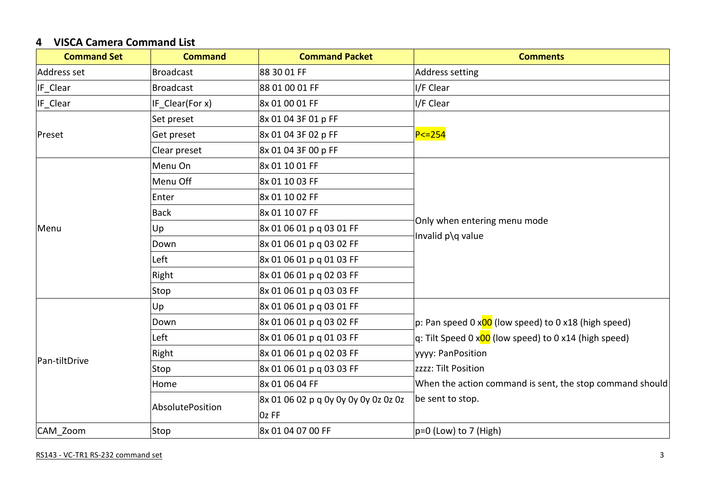## **4 VISCA Camera Command List**

| <b>Command Set</b> | <b>Command</b>   | <b>Command Packet</b>                | <b>Comments</b>                                                     |
|--------------------|------------------|--------------------------------------|---------------------------------------------------------------------|
| Address set        | <b>Broadcast</b> | 88 30 01 FF                          | <b>Address setting</b>                                              |
| IF_Clear           | <b>Broadcast</b> | 88 01 00 01 FF                       | I/F Clear                                                           |
| IF_Clear           | IF Clear(For x)  | 8x 01 00 01 FF                       | I/F Clear                                                           |
|                    | Set preset       | 8x 01 04 3F 01 p FF                  |                                                                     |
| Preset             | Get preset       | 8x 01 04 3F 02 p FF                  | $P < = 254$                                                         |
|                    | Clear preset     | 8x 01 04 3F 00 p FF                  |                                                                     |
|                    | Menu On          | 8x 01 10 01 FF                       |                                                                     |
|                    | Menu Off         | 8x 01 10 03 FF                       |                                                                     |
|                    | Enter            | 8x 01 10 02 FF                       |                                                                     |
|                    | <b>Back</b>      | 8x 01 10 07 FF                       |                                                                     |
| Menu               | Up               | 8x 01 06 01 p q 03 01 FF             | Only when entering menu mode                                        |
|                    | Down             | 8x 01 06 01 p q 03 02 FF             | Invalid p\q value                                                   |
|                    | Left             | 8x 01 06 01 p q 01 03 FF             |                                                                     |
|                    | Right            | 8x 01 06 01 p q 02 03 FF             |                                                                     |
|                    | Stop             | 8x 01 06 01 p q 03 03 FF             |                                                                     |
|                    | Up               | 8x 01 06 01 p q 03 01 FF             |                                                                     |
|                    | Down             | 8x 01 06 01 p q 03 02 FF             | p: Pan speed 0 x00 (low speed) to 0 x18 (high speed)                |
|                    | Left             | 8x 01 06 01 p q 01 03 FF             | q: Tilt Speed 0 x <mark>00</mark> (low speed) to 0 x14 (high speed) |
|                    | Right            | 8x 01 06 01 p q 02 03 FF             | yyyy: PanPosition                                                   |
| Pan-tiltDrive      | Stop             | 8x 01 06 01 p q 03 03 FF             | zzzz: Tilt Position                                                 |
|                    | Home             | 8x 01 06 04 FF                       | When the action command is sent, the stop command should            |
|                    |                  | 8x 01 06 02 p q 0y 0y 0y 0y 0z 0z 0z | be sent to stop.                                                    |
|                    | AbsolutePosition | $OZ$ FF                              |                                                                     |
| CAM Zoom           | Stop             | 8x 01 04 07 00 FF                    | $p=0$ (Low) to 7 (High)                                             |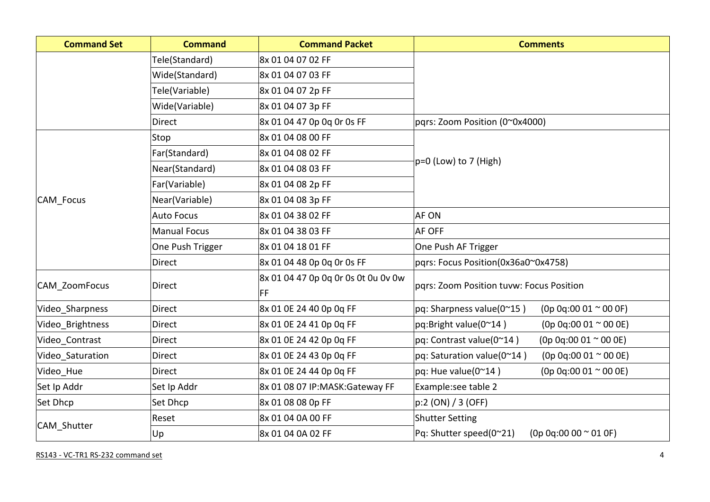| <b>Command Set</b> | <b>Command</b>      | <b>Command Packet</b>                            | <b>Comments</b>                                                        |
|--------------------|---------------------|--------------------------------------------------|------------------------------------------------------------------------|
|                    | Tele(Standard)      | 8x 01 04 07 02 FF                                |                                                                        |
|                    | Wide(Standard)      | 8x 01 04 07 03 FF                                |                                                                        |
|                    | Tele(Variable)      | 8x 01 04 07 2p FF                                |                                                                        |
|                    | Wide(Variable)      | 8x 01 04 07 3p FF                                |                                                                        |
|                    | <b>Direct</b>       | 8x 01 04 47 0p 0q 0r 0s FF                       | pqrs: Zoom Position (0~0x4000)                                         |
|                    | Stop                | 8x 01 04 08 00 FF                                |                                                                        |
|                    | Far(Standard)       | 8x 01 04 08 02 FF                                |                                                                        |
|                    | Near(Standard)      | 8x 01 04 08 03 FF                                | $ p=0$ (Low) to 7 (High)                                               |
|                    | Far(Variable)       | 8x 01 04 08 2p FF                                |                                                                        |
| <b>CAM Focus</b>   | Near(Variable)      | 8x 01 04 08 3p FF                                |                                                                        |
|                    | <b>Auto Focus</b>   | 8x 01 04 38 02 FF                                | <b>AF ON</b>                                                           |
|                    | <b>Manual Focus</b> | 8x 01 04 38 03 FF                                | <b>AF OFF</b>                                                          |
|                    | One Push Trigger    | 8x 01 04 18 01 FF                                | One Push AF Trigger                                                    |
|                    | <b>Direct</b>       | 8x 01 04 48 0p 0q 0r 0s FF                       | pqrs: Focus Position(0x36a0~0x4758)                                    |
| CAM_ZoomFocus      | Direct              | 8x 01 04 47 0p 0q 0r 0s 0t 0u 0v 0w<br><b>FF</b> | pqrs: Zoom Position tuvw: Focus Position                               |
| Video Sharpness    | <b>Direct</b>       | 8x 01 0E 24 40 0p 0q FF                          | $pq:$ Sharpness value(0 $^{\sim}$ 15)<br>$(0p 0q:00 01 \approx 00 0F)$ |
| Video_Brightness   | Direct              | 8x 01 0E 24 41 0p 0q FF                          | pq:Bright value(0~14)<br>$(0p 0q:00 01 \approx 00 0E)$                 |
| Video Contrast     | <b>Direct</b>       | 8x 01 0E 24 42 0p 0q FF                          | $(0p 0q:00 01 \approx 00 0E)$<br>pq: Contrast value(0~14)              |
| Video_Saturation   | Direct              | 8x 01 0E 24 43 0p 0q FF                          | pq: Saturation value(0~14)<br>$(0p 0q:00 01 \approx 00 0E)$            |
| Video Hue          | <b>Direct</b>       | 8x 01 0E 24 44 0p 0q FF                          | $pq:$ Hue value(0~14)<br>$(0p 0q:00 01 \approx 00 0E)$                 |
| Set Ip Addr        | Set Ip Addr         | 8x 01 08 07 IP:MASK:Gateway FF                   | Example:see table 2                                                    |
| Set Dhcp           | Set Dhcp            | 8x 01 08 08 0p FF                                | p:2 (ON) / 3 (OFF)                                                     |
|                    | Reset               | 8x 01 04 0A 00 FF                                | <b>Shutter Setting</b>                                                 |
| CAM_Shutter        | Up                  | 8x 01 04 0A 02 FF                                | Pq: Shutter speed(0~21)<br>$(0p 0q:00 00 \approx 01 0F)$               |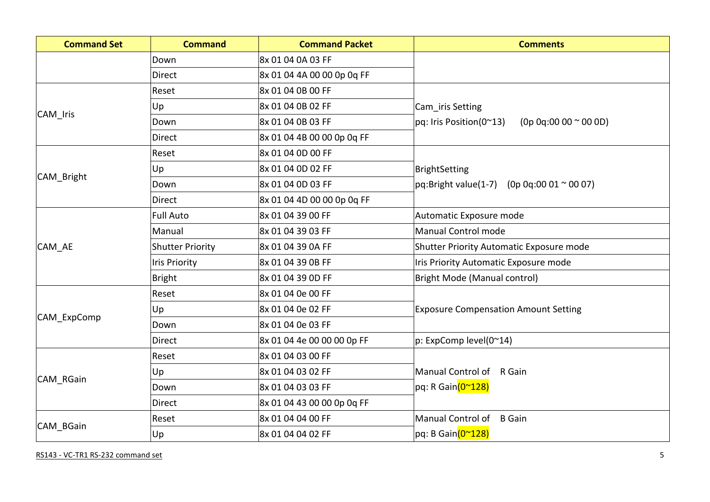| <b>Command Set</b> | <b>Command</b>          | <b>Command Packet</b>      | <b>Comments</b>                                          |
|--------------------|-------------------------|----------------------------|----------------------------------------------------------|
|                    | Down                    | 8x 01 04 0A 03 FF          |                                                          |
|                    | <b>Direct</b>           | 8x 01 04 4A 00 00 0p 0q FF |                                                          |
|                    | Reset                   | 8x 01 04 0B 00 FF          |                                                          |
|                    | Up                      | 8x 01 04 0B 02 FF          | Cam_iris Setting                                         |
| CAM Iris           | Down                    | 8x 01 04 0B 03 FF          | $(0p 0q:00 00 \approx 00 0D)$<br>pq: Iris Position(0~13) |
|                    | <b>Direct</b>           | 8x 01 04 4B 00 00 0p 0g FF |                                                          |
|                    | Reset                   | 8x 01 04 0D 00 FF          |                                                          |
|                    | Up                      | 8x 01 04 0D 02 FF          | BrightSetting                                            |
| CAM Bright         | Down                    | 8x 01 04 0D 03 FF          | pq:Bright value(1-7)<br>$(0p 0q:00 01 \approx 00 07)$    |
|                    | <b>Direct</b>           | 8x 01 04 4D 00 00 0p 0q FF |                                                          |
|                    | <b>Full Auto</b>        | 8x 01 04 39 00 FF          | Automatic Exposure mode                                  |
|                    | Manual                  | 8x 01 04 39 03 FF          | Manual Control mode                                      |
| CAM_AE             | <b>Shutter Priority</b> | 8x 01 04 39 0A FF          | Shutter Priority Automatic Exposure mode                 |
|                    | <b>Iris Priority</b>    | 8x 01 04 39 0B FF          | Iris Priority Automatic Exposure mode                    |
|                    | Bright                  | 8x 01 04 39 0D FF          | Bright Mode (Manual control)                             |
|                    | Reset                   | 8x 01 04 0e 00 FF          |                                                          |
|                    | Up                      | 8x 01 04 0e 02 FF          | <b>Exposure Compensation Amount Setting</b>              |
| CAM_ExpComp        | Down                    | 8x 01 04 0e 03 FF          |                                                          |
|                    | Direct                  | 8x 01 04 4e 00 00 00 0p FF | p: ExpComp level(0~14)                                   |
|                    | Reset                   | 8x 01 04 03 00 FF          |                                                          |
|                    | Up                      | 8x 01 04 03 02 FF          | Manual Control of R Gain                                 |
| CAM RGain          | Down                    | 8x 01 04 03 03 FF          | pq: R Gain(0~128)                                        |
|                    | <b>Direct</b>           | 8x 01 04 43 00 00 0p 0q FF |                                                          |
|                    | Reset                   | 8x 01 04 04 00 FF          | Manual Control of<br><b>B</b> Gain                       |
| CAM BGain          | Up                      | 8x 01 04 04 02 FF          | pq: B Gain(0~128)                                        |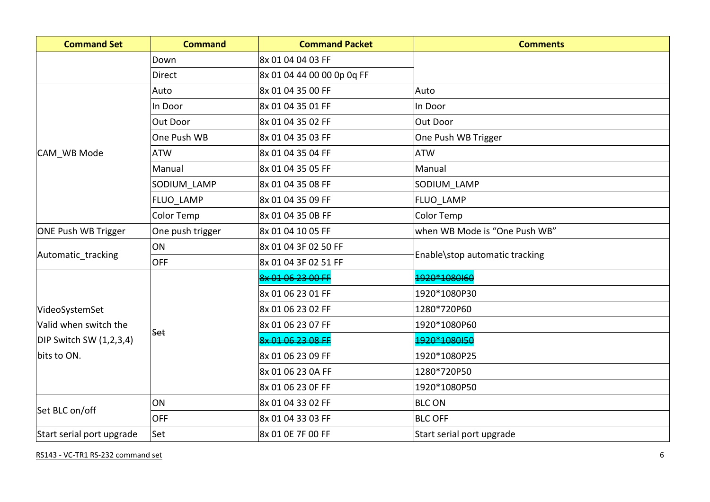| <b>Command Set</b>        | <b>Command</b>   | <b>Command Packet</b>      | <b>Comments</b>                |
|---------------------------|------------------|----------------------------|--------------------------------|
|                           | Down             | 8x 01 04 04 03 FF          |                                |
|                           | Direct           | 8x 01 04 44 00 00 0p 0q FF |                                |
|                           | Auto             | 8x 01 04 35 00 FF          | Auto                           |
|                           | In Door          | 8x 01 04 35 01 FF          | In Door                        |
|                           | Out Door         | 8x 01 04 35 02 FF          | Out Door                       |
|                           | One Push WB      | 8x 01 04 35 03 FF          | One Push WB Trigger            |
| CAM WB Mode               | <b>ATW</b>       | 8x 01 04 35 04 FF          | <b>ATW</b>                     |
|                           | Manual           | 8x 01 04 35 05 FF          | Manual                         |
|                           | SODIUM_LAMP      | 8x 01 04 35 08 FF          | SODIUM LAMP                    |
|                           | FLUO LAMP        | 8x 01 04 35 09 FF          | <b>FLUO LAMP</b>               |
|                           | Color Temp       | 8x 01 04 35 0B FF          | Color Temp                     |
| ONE Push WB Trigger       | One push trigger | 8x 01 04 10 05 FF          | when WB Mode is "One Push WB"  |
|                           | ON               | 8x 01 04 3F 02 50 FF       | Enable\stop automatic tracking |
| Automatic_tracking        | <b>OFF</b>       | 8x 01 04 3F 02 51 FF       |                                |
|                           |                  | 8x 01 06 23 00 FF          | 1920*1080160                   |
|                           |                  | 8x 01 06 23 01 FF          | 1920*1080P30                   |
| VideoSystemSet            |                  | 8x 01 06 23 02 FF          | 1280*720P60                    |
| Valid when switch the     |                  | 8x 01 06 23 07 FF          | 1920*1080P60                   |
| DIP Switch SW (1,2,3,4)   | Set              | <u>RY 01 06 22 08 FF</u>   | 1020*1080150                   |
| bits to ON.               |                  | 8x 01 06 23 09 FF          | 1920*1080P25                   |
|                           |                  | 8x 01 06 23 0A FF          | 1280*720P50                    |
|                           |                  | 8x 01 06 23 OF FF          | 1920*1080P50                   |
|                           | ON               | 8x 01 04 33 02 FF          | <b>BLC ON</b>                  |
| Set BLC on/off            | <b>OFF</b>       | 8x 01 04 33 03 FF          | <b>BLC OFF</b>                 |
| Start serial port upgrade | Set              | 8x 01 0E 7F 00 FF          | Start serial port upgrade      |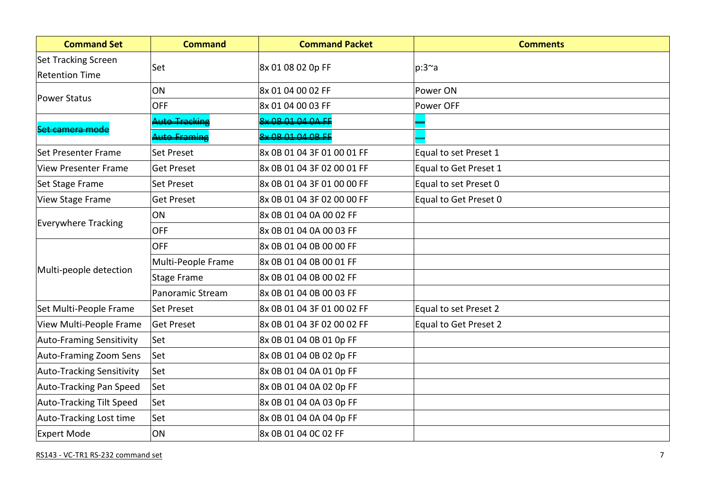| <b>Command Set</b>                           | <b>Command</b>     | <b>Command Packet</b>      | <b>Comments</b>       |
|----------------------------------------------|--------------------|----------------------------|-----------------------|
| Set Tracking Screen<br><b>Retention Time</b> | Set                | 8x 01 08 02 0p FF          | $p:3^{\sim}a$         |
| <b>Power Status</b>                          | ON                 | 8x 01 04 00 02 FF          | Power ON              |
|                                              | <b>OFF</b>         | 8x 01 04 00 03 FF          | Power OFF             |
| camera mod                                   | the Tracking       | 9.00010101015              |                       |
|                                              | uto-Framin         | $8\times$ OB 01 04 OB FF   |                       |
| Set Presenter Frame                          | <b>Set Preset</b>  | 8x 0B 01 04 3F 01 00 01 FF | Equal to set Preset 1 |
| <b>View Presenter Frame</b>                  | <b>Get Preset</b>  | 8x 0B 01 04 3F 02 00 01 FF | Equal to Get Preset 1 |
| Set Stage Frame                              | <b>Set Preset</b>  | 8x 0B 01 04 3F 01 00 00 FF | Equal to set Preset 0 |
| <b>View Stage Frame</b>                      | <b>Get Preset</b>  | 8x 0B 01 04 3F 02 00 00 FF | Equal to Get Preset 0 |
| <b>Everywhere Tracking</b>                   | ON                 | 8x 0B 01 04 0A 00 02 FF    |                       |
|                                              | <b>OFF</b>         | 8x 0B 01 04 0A 00 03 FF    |                       |
|                                              | <b>OFF</b>         | 8x 0B 01 04 0B 00 00 FF    |                       |
| Multi-people detection                       | Multi-People Frame | 8x 0B 01 04 0B 00 01 FF    |                       |
|                                              | <b>Stage Frame</b> | 8x 0B 01 04 0B 00 02 FF    |                       |
|                                              | Panoramic Stream   | 8x 0B 01 04 0B 00 03 FF    |                       |
| Set Multi-People Frame                       | Set Preset         | 8x 0B 01 04 3F 01 00 02 FF | Equal to set Preset 2 |
| View Multi-People Frame                      | <b>Get Preset</b>  | 8x 0B 01 04 3F 02 00 02 FF | Equal to Get Preset 2 |
| <b>Auto-Framing Sensitivity</b>              | Set                | 8x 0B 01 04 0B 01 0p FF    |                       |
| Auto-Framing Zoom Sens                       | Set                | 8x 0B 01 04 0B 02 0p FF    |                       |
| <b>Auto-Tracking Sensitivity</b>             | Set                | 8x 0B 01 04 0A 01 0p FF    |                       |
| Auto-Tracking Pan Speed                      | Set                | 8x 0B 01 04 0A 02 0p FF    |                       |
| Auto-Tracking Tilt Speed                     | Set                | 8x 0B 01 04 0A 03 0p FF    |                       |
| Auto-Tracking Lost time                      | Set                | 8x 0B 01 04 0A 04 0p FF    |                       |
| <b>Expert Mode</b>                           | ON                 | 8x 0B 01 04 0C 02 FF       |                       |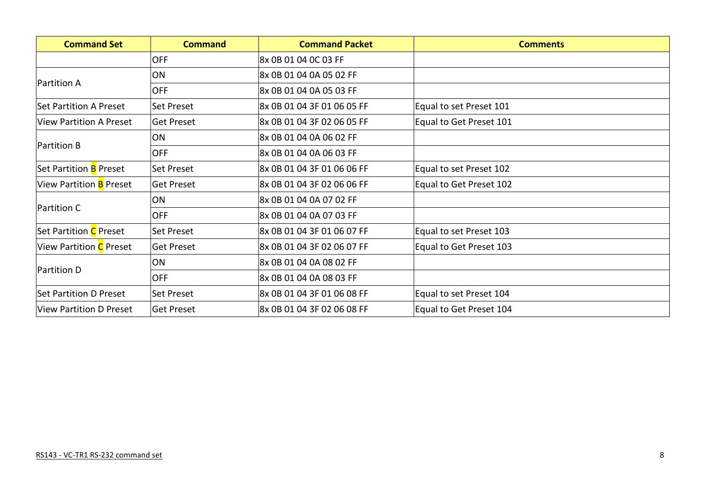| <b>Command Set</b>             | <b>Command</b>    | <b>Command Packet</b>      | <b>Comments</b>         |
|--------------------------------|-------------------|----------------------------|-------------------------|
|                                | <b>OFF</b>        | 8x 0B 01 04 0C 03 FF       |                         |
|                                | ON                | 8x 0B 01 04 0A 05 02 FF    |                         |
| <b>Partition A</b>             | <b>OFF</b>        | 8x 0B 01 04 0A 05 03 FF    |                         |
| <b>Set Partition A Preset</b>  | Set Preset        | 8x 0B 01 04 3F 01 06 05 FF | Equal to set Preset 101 |
| <b>View Partition A Preset</b> | <b>Get Preset</b> | 8x 0B 01 04 3F 02 06 05 FF | Equal to Get Preset 101 |
|                                | ON                | 8x 0B 01 04 0A 06 02 FF    |                         |
| <b>Partition B</b>             | <b>OFF</b>        | 8x 0B 01 04 0A 06 03 FF    |                         |
| Set Partition <b>B</b> Preset  | Set Preset        | 8x 0B 01 04 3F 01 06 06 FF | Equal to set Preset 102 |
| View Partition <b>B</b> Preset | <b>Get Preset</b> | 8x 0B 01 04 3F 02 06 06 FF | Equal to Get Preset 102 |
|                                | ON                | 8x 0B 01 04 0A 07 02 FF    |                         |
| Partition C                    | <b>OFF</b>        | 8x 0B 01 04 0A 07 03 FF    |                         |
| Set Partition C Preset         | Set Preset        | 8x 0B 01 04 3F 01 06 07 FF | Equal to set Preset 103 |
| View Partition C Preset        | <b>Get Preset</b> | 8x 0B 01 04 3F 02 06 07 FF | Equal to Get Preset 103 |
|                                | ON                | 8x 0B 01 04 0A 08 02 FF    |                         |
| Partition D                    | <b>OFF</b>        | 8x 0B 01 04 0A 08 03 FF    |                         |
| <b>Set Partition D Preset</b>  | Set Preset        | 8x 0B 01 04 3F 01 06 08 FF | Equal to set Preset 104 |
| <b>View Partition D Preset</b> | <b>Get Preset</b> | 8x 0B 01 04 3F 02 06 08 FF | Equal to Get Preset 104 |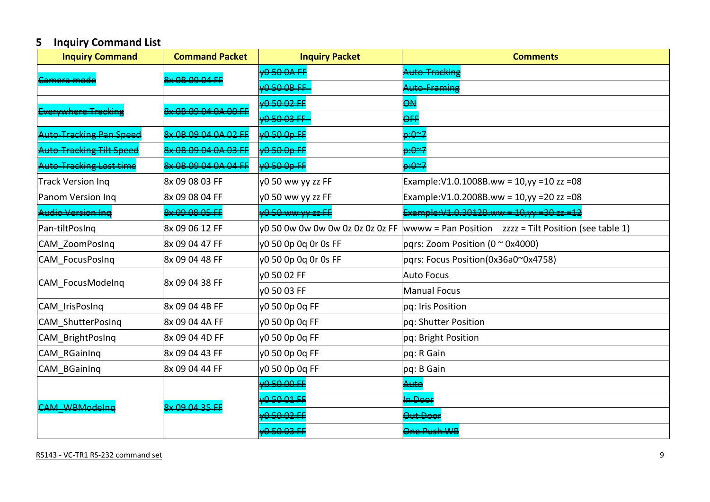# **5 Inquiry Command List**

| <b>Inquiry Command</b>                                                                                                                             | <b>Command Packet</b>                                                                                                                                                                                                                                                                                                                                                                | <b>Inquiry Packet</b>                 | <b>Comments</b>                                          |
|----------------------------------------------------------------------------------------------------------------------------------------------------|--------------------------------------------------------------------------------------------------------------------------------------------------------------------------------------------------------------------------------------------------------------------------------------------------------------------------------------------------------------------------------------|---------------------------------------|----------------------------------------------------------|
|                                                                                                                                                    | 8x 0B 09 04 FI                                                                                                                                                                                                                                                                                                                                                                       | $\Omega$ CO $\Omega$ CC               | Auto Tracking                                            |
|                                                                                                                                                    |                                                                                                                                                                                                                                                                                                                                                                                      | <u>D EN ND EE</u>                     | <u>Auto Eraming</u>                                      |
|                                                                                                                                                    | <u><u>QV AD AQ A4 AA AA EE</u></u>                                                                                                                                                                                                                                                                                                                                                   | $0.50.02 F$ F                         | $\overline{a}$                                           |
|                                                                                                                                                    |                                                                                                                                                                                                                                                                                                                                                                                      | 도요 요구 도도                              | $\overline{Q}$                                           |
| <b>Tracking Dan Cn</b>                                                                                                                             |                                                                                                                                                                                                                                                                                                                                                                                      | $\Omega$ FO $\Omega$ m $\overline{H}$ | <del>ټن</del> هيو                                        |
|                                                                                                                                                    | $\overline{0}$ $\overline{0}$ $\overline{0}$ $\overline{0}$ $\overline{0}$ $\overline{0}$ $\overline{0}$ $\overline{0}$ $\overline{0}$ $\overline{0}$ $\overline{0}$ $\overline{0}$ $\overline{0}$ $\overline{0}$ $\overline{0}$ $\overline{0}$ $\overline{0}$ $\overline{0}$ $\overline{0}$ $\overline{0}$ $\overline{0}$ $\overline{0}$ $\overline{0}$ $\overline{0}$ $\overline{$ | بعمهمهم                               | <del>ټ≏نډ</del>                                          |
| the Tracking Lost tim                                                                                                                              | $2\sqrt{AD}$ $00$ $04$ $04$ $04$ $E$                                                                                                                                                                                                                                                                                                                                                 | 0.50.00.E                             | $\Omega^2$                                               |
| <b>Track Version Ing</b>                                                                                                                           | 8x 09 08 03 FF                                                                                                                                                                                                                                                                                                                                                                       | y0 50 ww yy zz FF                     | Example: V1.0.1008B.ww = 10, yy = 10 zz = 08             |
| Panom Version Ing                                                                                                                                  | 8x 09 08 04 FF                                                                                                                                                                                                                                                                                                                                                                       | y0 50 ww yy zz FF                     | Example: V1.0.2008B.ww = 10, yy = 20 zz = 08             |
| udio Version Ing                                                                                                                                   | $8\times$ 00 08 05 FF                                                                                                                                                                                                                                                                                                                                                                | 050 <del>ww yy zz FF</del>            | <del>Example:V1.0.3012B.ww = 10,yy =30 zz =12</del>      |
| Pan-tiltPosIng                                                                                                                                     | 8x 09 06 12 FF                                                                                                                                                                                                                                                                                                                                                                       | y0 50 0w 0w 0w 0w 0z 0z 0z 0z FF      | wwww = Pan Position $zzzz$ = Tilt Position (see table 1) |
| CAM ZoomPosInq                                                                                                                                     | 8x 09 04 47 FF                                                                                                                                                                                                                                                                                                                                                                       | y0 50 0p 0q 0r 0s FF                  | pqrs: Zoom Position ( $0 \approx 0 \times 4000$ )        |
| CAM_FocusPosInq                                                                                                                                    | 8x 09 04 48 FF                                                                                                                                                                                                                                                                                                                                                                       | y0 50 0p 0q 0r 0s FF                  | pqrs: Focus Position(0x36a0~0x4758)                      |
|                                                                                                                                                    | 8x 09 04 38 FF                                                                                                                                                                                                                                                                                                                                                                       | y0 50 02 FF                           | <b>Auto Focus</b>                                        |
| nyhoro Trackir<br>CAM FocusModelnq<br>CAM_IrisPosInq<br>CAM_ShutterPosInq<br>CAM_BrightPosInq<br>CAM RGainIng<br>CAM_BGainInq<br>$CMA$ $MDRAodaha$ |                                                                                                                                                                                                                                                                                                                                                                                      | VO 50 03 FF                           | <b>Manual Focus</b>                                      |
|                                                                                                                                                    | 8x 09 04 4B FF                                                                                                                                                                                                                                                                                                                                                                       | y0 50 0p 0q FF                        | pq: Iris Position                                        |
|                                                                                                                                                    | 8x 09 04 4A FF                                                                                                                                                                                                                                                                                                                                                                       | y0 50 0p 0q FF                        | pq: Shutter Position                                     |
|                                                                                                                                                    | 8x 09 04 4D FF                                                                                                                                                                                                                                                                                                                                                                       | y0 50 0p 0q FF                        | pq: Bright Position                                      |
|                                                                                                                                                    | 8x 09 04 43 FF                                                                                                                                                                                                                                                                                                                                                                       | y0 50 0p 0q FF                        | pq: R Gain                                               |
|                                                                                                                                                    | 8x 09 04 44 FF                                                                                                                                                                                                                                                                                                                                                                       | y0 50 0p 0q FF                        | pq: B Gain                                               |
|                                                                                                                                                    |                                                                                                                                                                                                                                                                                                                                                                                      | AD 50.00 FF                           | Auto                                                     |
|                                                                                                                                                    | <b>8x 00 04 35 FF</b>                                                                                                                                                                                                                                                                                                                                                                | $0.5001 +$                            | <del>n Dool</del>                                        |
|                                                                                                                                                    |                                                                                                                                                                                                                                                                                                                                                                                      | 0.50.02.55                            | Aut Door                                                 |
|                                                                                                                                                    |                                                                                                                                                                                                                                                                                                                                                                                      | 0.50.02.55                            | One Puch WR                                              |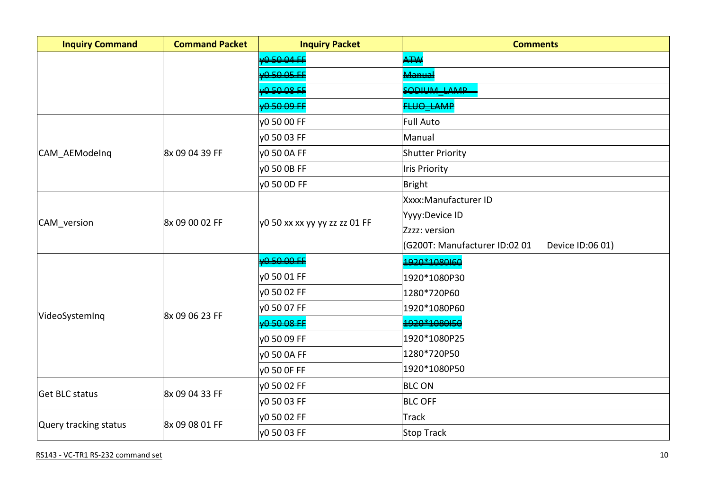| <b>Inquiry Command</b> | <b>Command Packet</b> | <b>Inquiry Packet</b>         | <b>Comments</b>                                   |
|------------------------|-----------------------|-------------------------------|---------------------------------------------------|
|                        |                       | 0.50.04E                      | ATW                                               |
|                        |                       | 0.50.05.E                     | مىيەم<br>مەنبا                                    |
|                        |                       | 0.50.08 F                     | SODILIM LAMP                                      |
|                        |                       | 0.5009E                       | <b>LUO LAMP</b>                                   |
|                        |                       | y0 50 00 FF                   | Full Auto                                         |
|                        |                       | v0 50 03 FF                   | Manual                                            |
| CAM_AEModeInq          | 8x 09 04 39 FF        | y0 50 0A FF                   | Shutter Priority                                  |
|                        |                       | y0 50 0B FF                   | <b>Iris Priority</b>                              |
|                        |                       | y0 50 0D FF                   | Bright                                            |
|                        |                       |                               | Xxxx: Manufacturer ID                             |
|                        | 8x 09 00 02 FF        | y0 50 xx xx yy yy zz zz 01 FF | Yyyy:Device ID                                    |
| CAM_version            |                       |                               | Zzzz: version                                     |
|                        |                       |                               | (G200T: Manufacturer ID:02 01<br>Device ID:06 01) |
|                        |                       | 0.50.00E                      | 1920*1080160                                      |
|                        |                       | y0 50 01 FF                   | 1920*1080P30                                      |
|                        | 8x 09 06 23 FF        | y0 50 02 FF                   | 1280*720P60                                       |
| VideoSystemInq         |                       | v0 50 07 FF                   | 1920*1080P60                                      |
|                        |                       | 0.5008F                       | 1020*1080I50                                      |
|                        |                       | v0 50 09 FF                   | 1920*1080P25                                      |
|                        |                       | y0 50 0A FF                   | 1280*720P50                                       |
|                        |                       | y0 50 OF FF                   | 1920*1080P50                                      |
|                        |                       | y0 50 02 FF                   | <b>BLC ON</b>                                     |
| Get BLC status         | 8x 09 04 33 FF        | y0 50 03 FF                   | <b>BLC OFF</b>                                    |
|                        |                       | y0 50 02 FF                   | Track                                             |
| Query tracking status  | 8x 09 08 01 FF        | y0 50 03 FF                   | Stop Track                                        |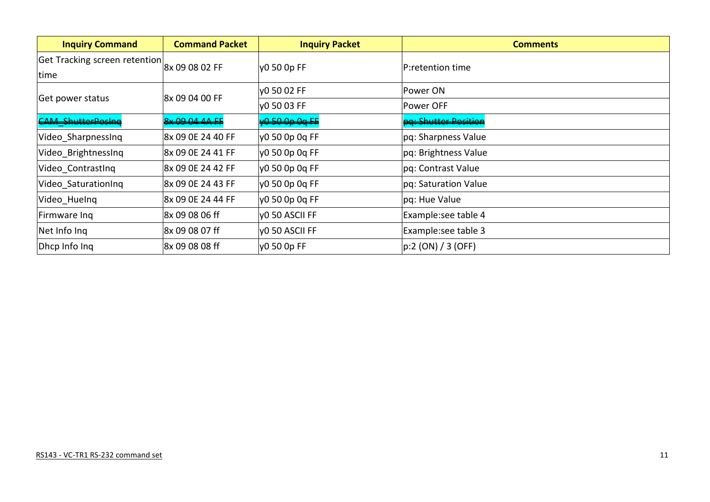| <b>Inquiry Command</b>                | <b>Command Packet</b> | <b>Inquiry Packet</b>     | <b>Comments</b>                 |
|---------------------------------------|-----------------------|---------------------------|---------------------------------|
| Get Tracking screen retention<br>time | 8x 09 08 02 FF        | y0 50 0p FF               | P:retention time                |
|                                       | 8x 09 04 00 FF        | VO 50 02 FF               | Power ON                        |
| Get power status                      |                       | VO 50 03 FF               | Power OFF                       |
| <b>CAM ShutterPosing</b>              | 8x 09 04 4A FE        | <del>/0 50 0p 0q FF</del> | <del>pa: Shutter Position</del> |
| Video Sharpnessing                    | 8x 09 0E 24 40 FF     | ly0 50 0p 0q FF           | pq: Sharpness Value             |
| Video BrightnessInq                   | 8x 09 0E 24 41 FF     | y0 50 0p 0q FF            | pq: Brightness Value            |
| Video ContrastIng                     | 8x 09 OE 24 42 FF     | y0 50 0p 0q FF            | pq: Contrast Value              |
| Video SaturationIng                   | 8x 09 0E 24 43 FF     | y0 50 0p 0q FF            | pq: Saturation Value            |
| Video_HueInq                          | 8x 09 0E 24 44 FF     | y0 50 0p 0q FF            | pq: Hue Value                   |
| Firmware Ing                          | 8x 09 08 06 ff        | y0 50 ASCII FF            | Example:see table 4             |
| Net Info Ing                          | 8x 09 08 07 ff        | y0 50 ASCII FF            | Example:see table 3             |
| Dhcp Info Ing                         | 8x 09 08 08 ff        | y0 50 0p FF               | p:2 (ON) / 3 (OFF)              |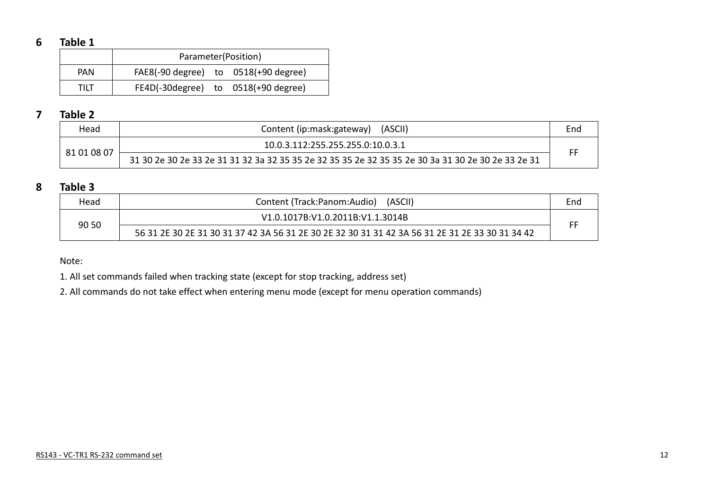#### **6 Table 1**

|            | Parameter(Position)                      |  |  |  |  |  |  |
|------------|------------------------------------------|--|--|--|--|--|--|
| <b>PAN</b> | $FAE8(-90 degree)$ to $0518(+90 degree)$ |  |  |  |  |  |  |
| TIIT       | FE4D(-30 degree) to 0518(+90 degree)     |  |  |  |  |  |  |

#### **7 Table 2**

| Head        | (ASCII)<br>Content (ip:mask:gateway)                                                               | End |
|-------------|----------------------------------------------------------------------------------------------------|-----|
| 81 01 08 07 | 10.0.3.112:255.255.255.0:10.0.3.1                                                                  |     |
|             | 31 30 2e 30 2e 33 2e 31 31 32 3a 32 35 35 2e 32 35 35 2e 32 35 35 2e 30 3a 31 30 2e 30 2e 33 2e 31 | FF  |

#### **8 Table 3**

| Head  | (ASCII)<br>Content (Track:Panom:Audio)                                                          | End |
|-------|-------------------------------------------------------------------------------------------------|-----|
| 90 50 | V1.0.1017B:V1.0.2011B:V1.1.3014B                                                                |     |
|       | 56 31 2E 30 2E 31 30 31 37 42 3A 56 31 2E 30 2E 32 30 31 31 42 3A 56 31 2E 31 2E 33 30 31 34 42 | FF  |

Note:

1. All set commands failed when tracking state (except for stop tracking, address set)

2. All commands do not take effect when entering menu mode (except for menu operation commands)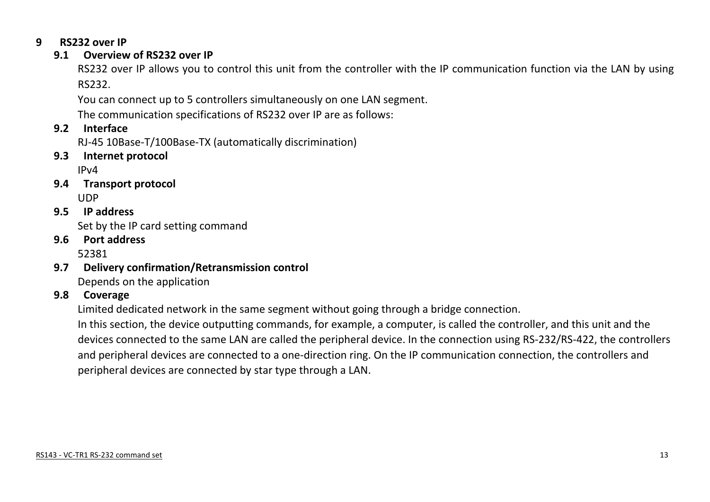#### **9 RS232 over IP**

#### **9.1 Overview of RS232 over IP**

RS232 over IP allows you to control this unit from the controller with the IP communication function via the LAN by using RS232.

You can connect up to 5 controllers simultaneously on one LAN segment.

The communication specifications of RS232 over IP are as follows:

#### **9.2 Interface**

RJ-45 10Base-T/100Base-TX (automatically discrimination)

**9.3 Internet protocol**

IPv4

- **9.4 Transport protocol** UDP
- **9.5 IP address** Set by the IP card setting command
- **9.6 Port address** 52381
- **9.7 Delivery confirmation/Retransmission control**

Depends on the application

#### **9.8 Coverage**

Limited dedicated network in the same segment without going through a bridge connection.

In this section, the device outputting commands, for example, a computer, is called the controller, and this unit and the devices connected to the same LAN are called the peripheral device. In the connection using RS-232/RS-422, the controllers and peripheral devices are connected to a one-direction ring. On the IP communication connection, the controllers and peripheral devices are connected by star type through a LAN.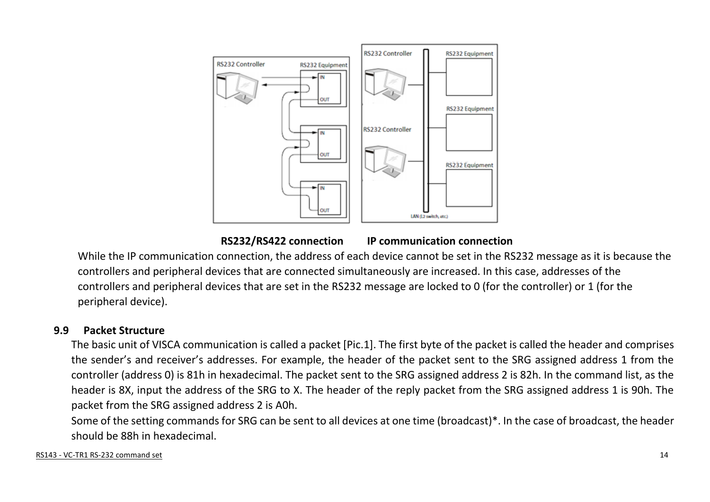

 **RS232/RS422 connection IP communication connection**

While the IP communication connection, the address of each device cannot be set in the RS232 message as it is because the controllers and peripheral devices that are connected simultaneously are increased. In this case, addresses of the controllers and peripheral devices that are set in the RS232 message are locked to 0 (for the controller) or 1 (for the peripheral device).

#### **9.9 Packet Structure**

The basic unit of VISCA communication is called a packet [Pic.1]. The first byte of the packet is called the header and comprises the sender's and receiver's addresses. For example, the header of the packet sent to the SRG assigned address 1 from the controller (address 0) is 81h in hexadecimal. The packet sent to the SRG assigned address 2 is 82h. In the command list, as the header is 8X, input the address of the SRG to X. The header of the reply packet from the SRG assigned address 1 is 90h. The packet from the SRG assigned address 2 is A0h.

Some of the setting commands for SRG can be sent to all devices at one time (broadcast)\*. In the case of broadcast, the header should be 88h in hexadecimal.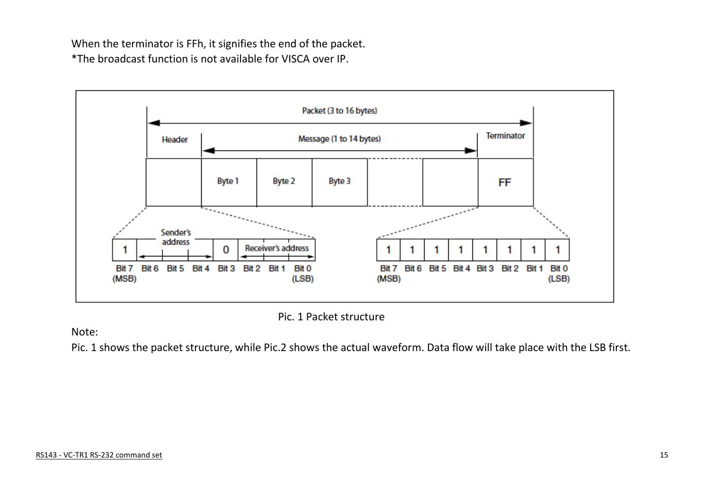When the terminator is FFh, it signifies the end of the packet. \*The broadcast function is not available for VISCA over IP.



Pic. 1 Packet structure

Note:

Pic. 1 shows the packet structure, while Pic.2 shows the actual waveform. Data flow will take place with the LSB first.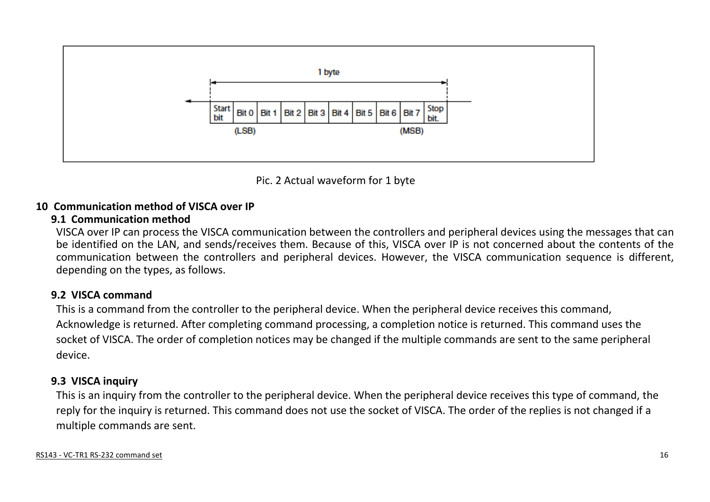

Pic. 2 Actual waveform for 1 byte

#### **10 Communication method of VISCA over IP**

#### **9.1 Communication method**

VISCA over IP can process the VISCA communication between the controllers and peripheral devices using the messages that can be identified on the LAN, and sends/receives them. Because of this, VISCA over IP is not concerned about the contents of the communication between the controllers and peripheral devices. However, the VISCA communication sequence is different, depending on the types, as follows.

## **9.2 VISCA command**

This is a command from the controller to the peripheral device. When the peripheral device receives this command, Acknowledge is returned. After completing command processing, a completion notice is returned. This command uses the socket of VISCA. The order of completion notices may be changed if the multiple commands are sent to the same peripheral device.

#### **9.3 VISCA inquiry**

This is an inquiry from the controller to the peripheral device. When the peripheral device receives this type of command, the reply for the inquiry is returned. This command does not use the socket of VISCA. The order of the replies is not changed if a multiple commands are sent.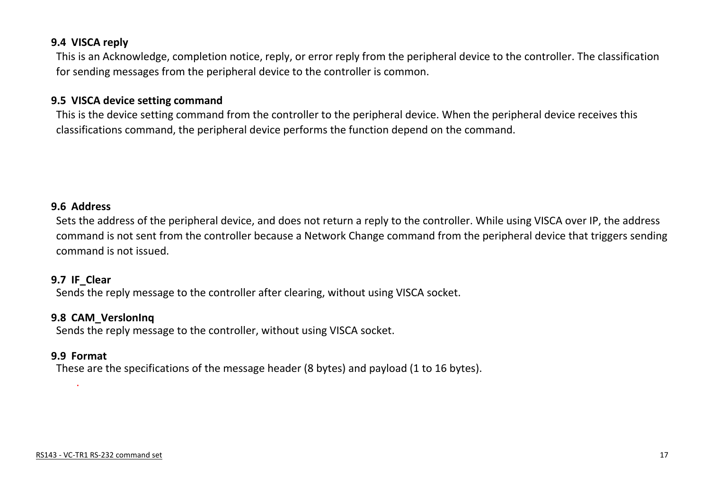#### **9.4 VISCA reply**

This is an Acknowledge, completion notice, reply, or error reply from the peripheral device to the controller. The classification for sending messages from the peripheral device to the controller is common.

#### **9.5 VISCA device setting command**

This is the device setting command from the controller to the peripheral device. When the peripheral device receives this classifications command, the peripheral device performs the function depend on the command.

#### **9.6 Address**

Sets the address of the peripheral device, and does not return a reply to the controller. While using VISCA over IP, the address command is not sent from the controller because a Network Change command from the peripheral device that triggers sending command is not issued.

#### **9.7 IF\_Clear**

Sends the reply message to the controller after clearing, without using VISCA socket.

#### **9.8 CAM\_VerslonInq**

Sends the reply message to the controller, without using VISCA socket.

#### **9.9 Format**

.

These are the specifications of the message header (8 bytes) and payload (1 to 16 bytes).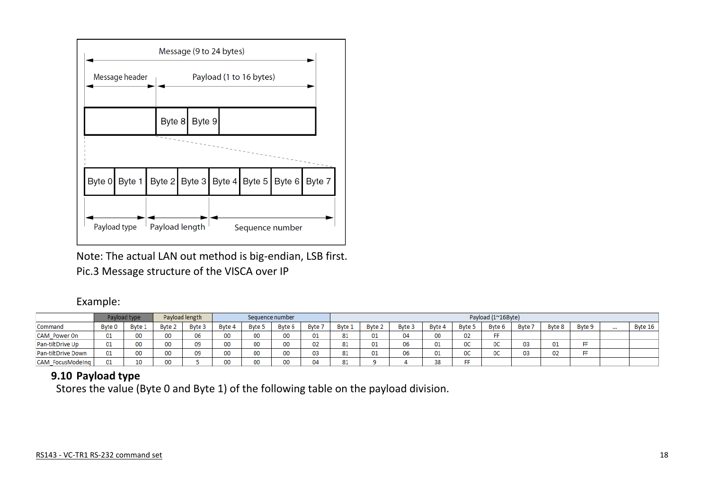

Note: The actual LAN out method is big-endian, LSB first. Pic.3 Message structure of the VISCA over IP

#### Example:

|                     |        | Payload type |        | Payload length |        | Sequence number |        |        | Payload (1~16Byte) |        |               |        |               |                |       |        |        |      |           |
|---------------------|--------|--------------|--------|----------------|--------|-----------------|--------|--------|--------------------|--------|---------------|--------|---------------|----------------|-------|--------|--------|------|-----------|
| Command             | Byte 0 | Byte 1       | Byte 2 | Byte 3         | Byte 4 | <b>Byte 5</b>   | Byte 6 | Byte 7 | Byte 1             | Byte 2 | <b>Byte 3</b> | Byte 4 | Byte 5        | Byte 6         | Byte: | Byte 8 | Byte 9 | 1.11 | Byte $16$ |
| <b>CAM</b> Power On | 01     | 00           | 00     | 06             | 00     |                 | 00     | 01     | 81                 | 01     | 04            | 00     | 02            | FF             |       |        |        |      |           |
| Pan-tiltDrive Up    | 01     | 00           | 00     | 09             | 00     |                 | 00     | 02     | 81                 | 01     | 06            | 01     | ne.<br>UU.    | 0C             | 03    | 01     | FF     |      |           |
| Pan-tiltDrive Down  | 01     | 00           | 00     | 09             | 00     |                 | 00     | 03     | 81                 | 01     | 06            | 01     | $\sim$<br>uv. | <sub>0</sub> C | 03    | 02     | FF     |      |           |
| CAM FocusModeIng    | 01     | 10           | 00     |                |        |                 | 00     |        | 81                 |        |               | 38     | FF.           |                |       |        |        |      |           |

#### **9.10 Payload type**

Stores the value (Byte 0 and Byte 1) of the following table on the payload division.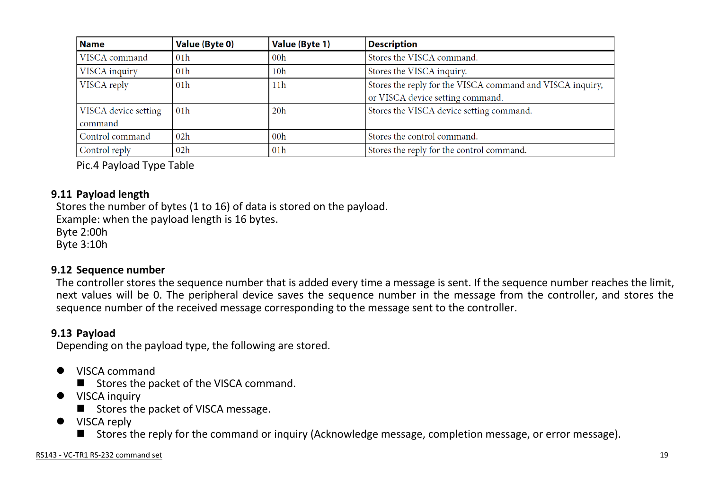| <b>Name</b>                     | <b>Value (Byte 0)</b> | Value (Byte 1)  | <b>Description</b>                                                                            |
|---------------------------------|-----------------------|-----------------|-----------------------------------------------------------------------------------------------|
| VISCA command                   | 01h                   | 00h             | Stores the VISCA command.                                                                     |
| VISCA inquiry                   | 01h                   | 10 <sub>h</sub> | Stores the VISCA inquiry.                                                                     |
| VISCA reply                     | 01 <sub>h</sub>       | 11h             | Stores the reply for the VISCA command and VISCA inquiry,<br>or VISCA device setting command. |
| VISCA device setting<br>command | 01 <sub>h</sub>       | 20 <sub>h</sub> | Stores the VISCA device setting command.                                                      |
| Control command                 | 02h                   | 00 <sub>h</sub> | Stores the control command.                                                                   |
| Control reply                   | 02h                   | 01 <sub>h</sub> | Stores the reply for the control command.                                                     |

Pic.4 Payload Type Table

#### **9.11 Payload length**

Stores the number of bytes (1 to 16) of data is stored on the payload. Example: when the payload length is 16 bytes. Byte 2:00h Byte 3:10h

#### **9.12 Sequence number**

The controller stores the sequence number that is added every time a message is sent. If the sequence number reaches the limit, next values will be 0. The peripheral device saves the sequence number in the message from the controller, and stores the sequence number of the received message corresponding to the message sent to the controller.

#### **9.13 Payload**

Depending on the payload type, the following are stored.

- VISCA command
	- Stores the packet of the VISCA command.
- **•** VISCA inquiry
	- $\blacksquare$  Stores the packet of VISCA message.
- VISCA reply
	- Stores the reply for the command or inquiry (Acknowledge message, completion message, or error message).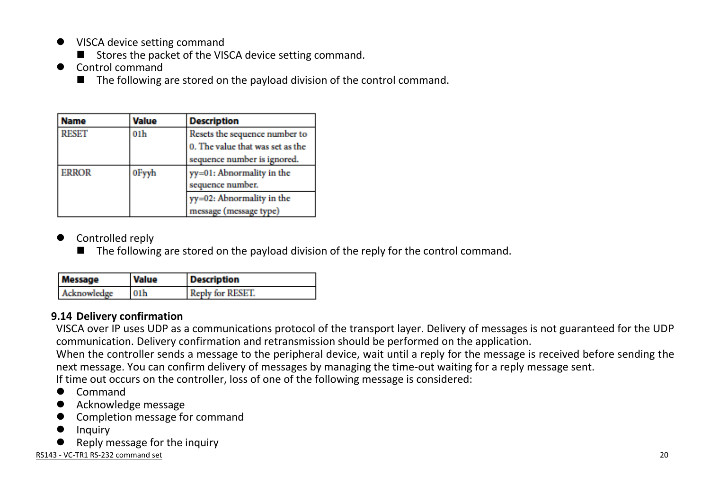- VISCA device setting command
	- Stores the packet of the VISCA device setting command.
- Control command
	- $\blacksquare$  The following are stored on the payload division of the control command.

| Name                  | Value | <b>Description</b>                                                                               |
|-----------------------|-------|--------------------------------------------------------------------------------------------------|
| <b>RESET</b>          | 01h   | Resets the sequence number to<br>0. The value that was set as the<br>sequence number is ignored. |
| <b>ERROR</b><br>0Fyyh |       | yy=01: Abnormality in the<br>sequence number.                                                    |
|                       |       | yy=02: Abnormality in the<br>message (message type)                                              |

- Controlled reply
	- $\blacksquare$  The following are stored on the payload division of the reply for the control command.

| <b>Message</b> | <b>Value</b>    | <b>Description</b> |  |  |  |  |
|----------------|-----------------|--------------------|--|--|--|--|
| Acknowledge    | 01 <sub>h</sub> | Reply for RESET.   |  |  |  |  |

#### **9.14 Delivery confirmation**

VISCA over IP uses UDP as a communications protocol of the transport layer. Delivery of messages is not guaranteed for the UDP communication. Delivery confirmation and retransmission should be performed on the application.

When the controller sends a message to the peripheral device, wait until a reply for the message is received before sending the next message. You can confirm delivery of messages by managing the time-out waiting for a reply message sent.

If time out occurs on the controller, loss of one of the following message is considered:

- Command
- Acknowledge message
- Completion message for command
- Inquiry
- Reply message for the inquiry